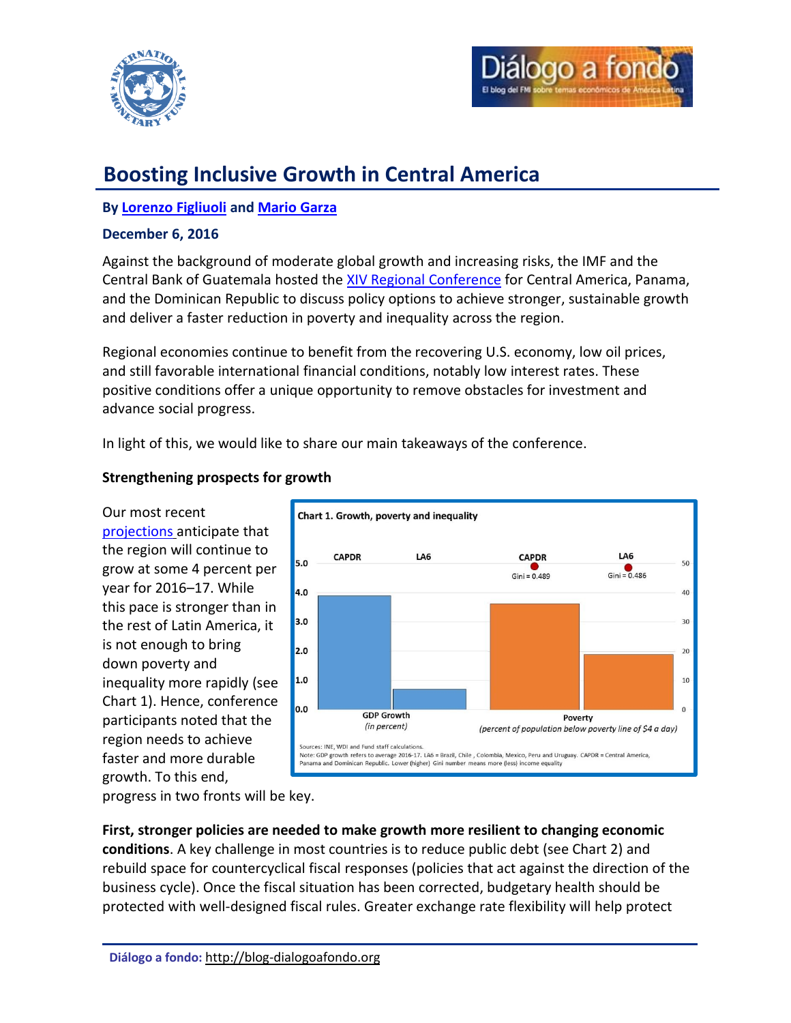



# **Boosting Inclusive Growth in Central America**

# **By [Lorenzo Figliuoli](#page-2-0) an[d Mario Garza](#page-2-1)**

#### **December 6, 2016**

Against the background of moderate global growth and increasing risks, the IMF and the Central Bank of Guatemala hosted the [XIV Regional Conference](http://www.imf.org/external/np/seminars/eng/2016/capdr/) for Central America, Panama, and the Dominican Republic to discuss policy options to achieve stronger, sustainable growth and deliver a faster reduction in poverty and inequality across the region.

Regional economies continue to benefit from the recovering U.S. economy, low oil prices, and still favorable international financial conditions, notably low interest rates. These positive conditions offer a unique opportunity to remove obstacles for investment and advance social progress.

In light of this, we would like to share our main takeaways of the conference.

## **Strengthening prospects for growth**

Our most recent [projections](http://blog-dialogoafondo.org/?p=6839) anticipate that the region will continue to grow at some 4 percent per year for 2016–17. While this pace is stronger than in the rest of Latin America, it is not enough to bring down poverty and inequality more rapidly (see Chart 1). Hence, conference participants noted that the region needs to achieve faster and more durable growth. To this end,



progress in two fronts will be key.

**First, stronger policies are needed to make growth more resilient to changing economic conditions**. A key challenge in most countries is to reduce public debt (see Chart 2) and rebuild space for countercyclical fiscal responses (policies that act against the direction of the business cycle). Once the fiscal situation has been corrected, budgetary health should be protected with well-designed fiscal rules. Greater exchange rate flexibility will help protect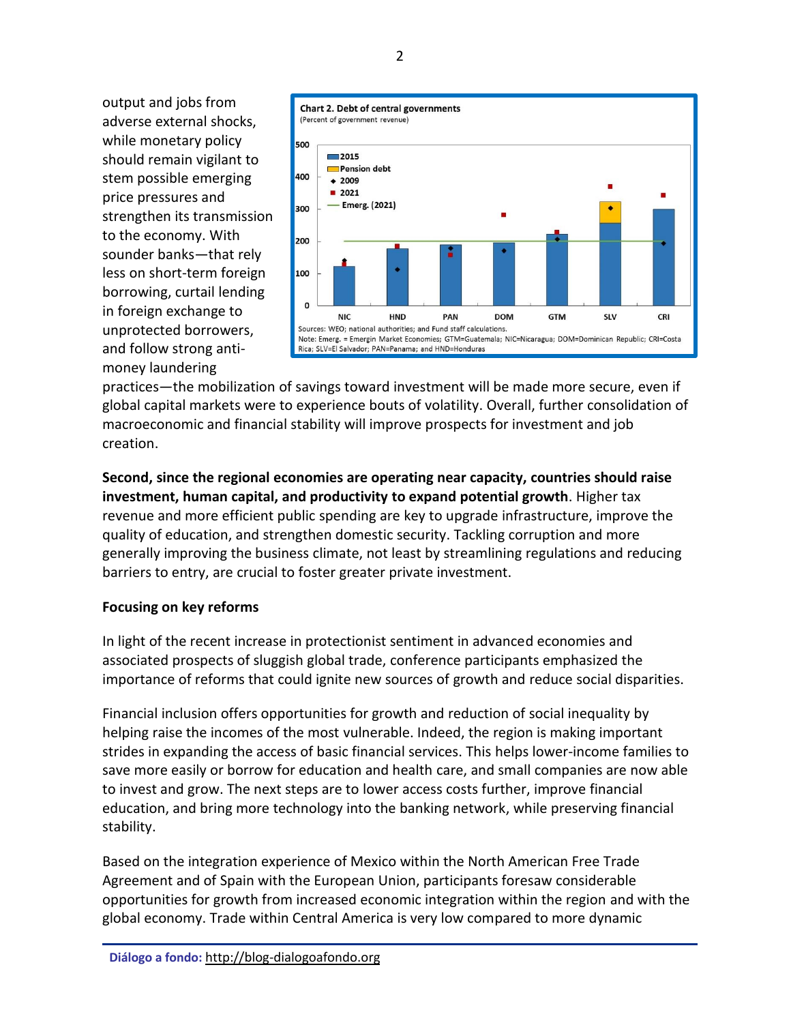output and jobs from adverse external shocks, while monetary policy should remain vigilant to stem possible emerging price pressures and strengthen its transmission to the economy. With sounder banks—that rely less on short-term foreign borrowing, curtail lending in foreign exchange to unprotected borrowers, and follow strong antimoney laundering



practices—the mobilization of savings toward investment will be made more secure, even if global capital markets were to experience bouts of volatility. Overall, further consolidation of macroeconomic and financial stability will improve prospects for investment and job creation.

**Second, since the regional economies are operating near capacity, countries should raise investment, human capital, and productivity to expand potential growth**. Higher tax revenue and more efficient public spending are key to upgrade infrastructure, improve the quality of education, and strengthen domestic security. Tackling corruption and more generally improving the business climate, not least by streamlining regulations and reducing barriers to entry, are crucial to foster greater private investment.

## **Focusing on key reforms**

In light of the recent increase in protectionist sentiment in advanced economies and associated prospects of sluggish global trade, conference participants emphasized the importance of reforms that could ignite new sources of growth and reduce social disparities.

Financial inclusion offers opportunities for growth and reduction of social inequality by helping raise the incomes of the most vulnerable. Indeed, the region is making important strides in expanding the access of basic financial services. This helps lower-income families to save more easily or borrow for education and health care, and small companies are now able to invest and grow. The next steps are to lower access costs further, improve financial education, and bring more technology into the banking network, while preserving financial stability.

Based on the integration experience of Mexico within the North American Free Trade Agreement and of Spain with the European Union, participants foresaw considerable opportunities for growth from increased economic integration within the region and with the global economy. Trade within Central America is very low compared to more dynamic